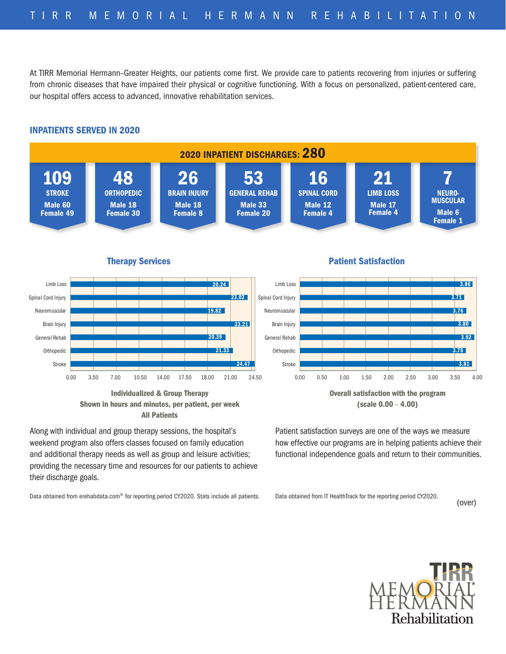At TIRR Memorial Hermann–Greater Heights, our patients come first. We provide care to patients recovering from injuries or suffering from chronic diseases that have impaired their physical or cognitive functioning. With a focus on personalized, patient-centered care, our hospital offers access to advanced, innovative rehabilitation services.

## INPATIENTS SERVED IN 2020



All Patients

Along with individual and group therapy sessions, the hospital's weekend program also offers classes focused on family education and additional therapy needs as well as group and leisure activities; providing the necessary time and resources for our patients to achieve their discharge goals.

Data obtained from erehabdata.com<sup>®</sup> for reporting period CY2020. Stats include all patients.

Patient satisfaction surveys are one of the ways we measure

how effective our programs are in helping patients achieve their functional independence goals and return to their communities.

Data obtained from IT HealthTrack for the reporting period CY2020.

(over)